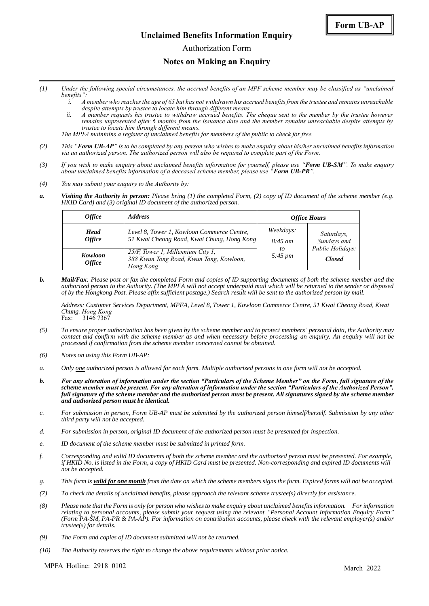#### **Unclaimed Benefits Information Enquiry**

Authorization Form

#### **Notes on Making an Enquiry**

- *(1) Under the following special circumstances, the accrued benefits of an MPF scheme member may be classified as "unclaimed benefits":*
	- *i. A member who reaches the age of 65 but has not withdrawn his accrued benefits from the trustee and remains unreachable despite attempts by trustee to locate him through different means.*
	- *ii. A member requests his trustee to withdraw accrued benefits. The cheque sent to the member by the trustee however remains unpresented after 6 months from the issuance date and the member remains unreachable despite attempts by trustee to locate him through different means.*

*The MPFA maintains a register of unclaimed benefits for members of the public to check for free.*

- *(2) This "Form UB-AP" is to be completed by any person who wishes to make enquiry about his/her unclaimed benefits information via an authorized person. The authorized person will also be required to complete part of the Form.*
- *(3) If you wish to make enquiry about unclaimed benefits information for yourself, please use "Form UB-SM". To make enquiry about unclaimed benefits information of a deceased scheme member, please use "Form UB-PR".*
- *(4) You may submit your enquiry to the Authority by:*
- *a. Visiting the Authority in person: Please bring (1) the completed Form, (2) copy of ID document of the scheme member (e.g. HKID Card) and (3) original ID document of the authorized person.*

| <i><b>Office</b></i>                | <i><b>Address</b></i>                                                                     | <b>Office Hours</b>                                    |                                                                |
|-------------------------------------|-------------------------------------------------------------------------------------------|--------------------------------------------------------|----------------------------------------------------------------|
| <b>Head</b><br><i><b>Office</b></i> | Level 8, Tower 1, Kowloon Commerce Centre,<br>51 Kwai Cheong Road, Kwai Chung, Hong Kong  | Weekdays:<br>$8:45 \; am$<br>to<br>$5:45 \, \text{pm}$ | Saturdays,<br>Sundays and<br>Public Holidays:<br><b>Closed</b> |
| Kowloon<br><i><b>Office</b></i>     | 25/F, Tower 1, Millennium City 1,<br>388 Kwun Tong Road, Kwun Tong, Kowloon,<br>Hong Kong |                                                        |                                                                |

*b. Mail/Fax: Please post or fax the completed Form and copies of ID supporting documents of both the scheme member and the authorized person to the Authority. (The MPFA will not accept underpaid mail which will be returned to the sender or disposed of by the Hongkong Post. Please affix sufficient postage.) Search result will be sent to the authorized person by mail.*

*Address: Customer Services Department, MPFA, Level 8, Tower 1, Kowloon Commerce Centre, 51 Kwai Cheong Road, Kwai Chung, Hong Kong* Fax: 3146 7367

- *(5) To ensure proper authorization has been given by the scheme member and to protect members' personal data, the Authority may contact and confirm with the scheme member as and when necessary before processing an enquiry. An enquiry will not be processed if confirmation from the scheme member concerned cannot be obtained.*
- *(6) Notes on using this Form UB-AP:*
- *a. Only one authorized person is allowed for each form. Multiple authorized persons in one form will not be accepted.*
- *b. For any alteration of information under the section "Particulars of the Scheme Member" on the Form, full signature of the scheme member must be present. For any alteration of information under the section "Particulars of the Authorized Person", full signature of the scheme member and the authorized person must be present. All signatures signed by the scheme member and authorized person must be identical.*
- *c. For submission in person, Form UB-AP must be submitted by the authorized person himself/herself. Submission by any other third party will not be accepted.*
- *d. For submission in person, original ID document of the authorized person must be presented for inspection.*
- *e. ID document of the scheme member must be submitted in printed form.*
- *f. Corresponding and valid ID documents of both the scheme member and the authorized person must be presented. For example, if HKID No. is listed in the Form, a copy of HKID Card must be presented. Non-corresponding and expired ID documents will not be accepted.*
- *g. This form is valid for one month from the date on which the scheme members signs the form. Expired forms will not be accepted.*
- *(7) To check the details of unclaimed benefits, please approach the relevant scheme trustee(s) directly for assistance.*
- *(8) Please note that the Form is only for person who wishes to make enquiry about unclaimed benefits information. For information relating to personal accounts, please submit your request using the relevant "Personal Account Information Enquiry Form" (Form PA-SM, PA-PR & PA-AP). For information on contribution accounts, please check with the relevant employer(s) and/or trustee(s) for details.*
- *(9) The Form and copies of ID document submitted will not be returned.*
- *(10) The Authority reserves the right to change the above requirements without prior notice.*

MPFA Hotline: 2918 0102 March 2022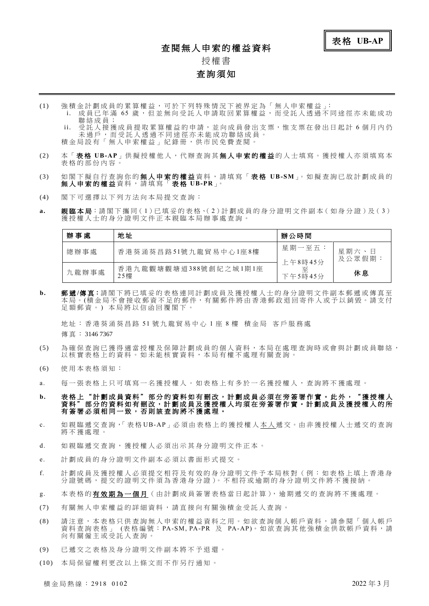#### 查閱無人申索的權益資料



# 授權 書

#### 查詢須知

- (1) 強 積 金 計 劃 成 員 的 累 算 權 益 , 可 於 下 列 特 殊 情 況 下 被 界 定 為 「 無 人 申 索 權 益 」:
	- i. 成員已年滿 65 歲,但並無向受託人申請取回累算權益,而受託人透過不同途徑亦未能成功 聯 絡 成 員 ; 受託人接獲成員提取累算權益的申請,並向成員發出支票,惟支票在發出日起計6個月內仍 未過戶,而受託人透過不同途徑亦未能成功聯絡成員。 積金局設有「無人申索權益」紀錄冊,供市民免費查閱
- (2) 本「 表 格 **UB-AP**」供 擬 授 權 他 人 , 代 辦 查 詢 其 無 人 申 索 的 權 益 的 人 士 填 寫 。 獲 授 權 人 亦 須 填 寫 本 表格的部份内容。
- (3) 如 閣 下 擬 自 行 查 詢 你 的 無 人 申 索 的 權 益 資 料 , 請 填 寫 「 表 格 **UB-SM**」。 如 擬 查 詢 已 故 計 劃 成 員 的 無 人 申 索 的 權 益 資 料 , 請 填 寫 「 表 格 **UB-PR**」。
- (4) 閣 下 可 選 擇 以 下 列 方 法 向 本 局 提 交 查 詢 :
- a. 親臨本局:請閣下攜同(1)已填妥的表格、(2)計劃成員的身分證明文件副本(如身分證)及(3) 獲授權 人十的身分證明文件正本親臨本局辦事處杳詢

| 辦 事<br>處 | 地址                           | 辦公時間                    |                 |
|----------|------------------------------|-------------------------|-----------------|
| 總辦事處     | 香港葵涌葵昌路51號九龍貿易中心1座8樓         | 星期一至五:                  | 星期六、日<br>及公眾假期: |
| 九龍辦事處    | 香港九龍觀塘觀塘道388號創紀之城1期1座<br>25樓 | 上午8時45分<br>줖<br>下午5時45分 | 休息              |

b. 郵遞/傳真:請閣下將已填妥的表格連同計劃成員及獲授權人士的身分證明文件副本郵遞或傳真至 <del>一章 13 人 第13 1 第 三 公交形 长吊运1311</del>当众交及设置入主书33分是为交计器1 → 本意众13 人主 足額郵資。)本局將以信函回覆閣下。

地址:香港葵涌葵昌路 51 號九龍貿易中心 1 座 8 樓 積金局 客戶服務處 傳 真 : 3146 7367

- (5) 為 確 保 查 詢 已 獲 得 適 當 授 權 及 保 障 計 劃 成 員 的 個 人 資 料 , 本 局 在 處 理 查 詢 時 或 會 與 計 劃 成 員 聯 絡 , 以核實表格上的資料。如未能核實資料,本局有權不處理有關查詢。
- (6) 使 用 本 表 格 須 知 :
- a. 每 一 張 表 格 上 只 可 填 寫 一 名 獲 授 權 人 。 如 表 格 上 有 多 於 一 名 獲 授 權 人 , 查 詢 將 不 獲 處 理 。

b. 表格上" 計劃成員資料"部分的資料如有刪改,計劃成員必須在旁簽署作實。此外,"獲授權人 資料"部分的資料如有刪改,計劃成員及獲授權人均須在旁簽署作實。計劃成員及獲授權人的所 有簽署必須相同一致,否則該查詢將不獲處理。

- c. 如親臨遞交查詢,「表格UB-AP」必須由表格上的獲授權人本人遞交。由非獲授權人士遞交的查詢 將 不 獲 處 理 。
- d. 如 親 臨 搋 交 杳 詢 , 獲 授 權 人 必 須 出 示 其 身 分 諍 明 文 件 正 本 。
- e. 計劃成員的身分證明文件副本必須以書面形式提交。
- f. 計 劃 成 員 及 獲 授 權 人 必 須 提 交 相 符 及 有 效 的 身 分 證 明 文 件 予 本 局 核 對 ( 例 : 如 表 格 上 填 上 香 港 身 分證號碼,提交的證明文件須為香港身分證)。不相符或逾期的身分證明文件將不獲接納。
- g. 本表格的有效期為一個月(由計劃成員簽署表格當日起計算), 逾期遞交的查詢將不獲處理。
- (7) 有 關 無 人 申 索 權 益 的 詳 細 資 料 , 請 直 接 向 有 關 強 積 金 受 託 人 查 詢 。
- (8) 請注意,本表格只供查詢無人申索的權益資料之用。如欲查詢個人帳戶資料,請參閱「個人帳戶 資料查詢表格 」 (表格編號:PA-SM, PA-PR 及 PA-AP)。如欲查詢其他強積金供款帳戶資料,請 向有關僱主或受託人查詢。
- (9) 已 遞 交 之 表 格 及 身 分 證 明 文 件 副 本 將 不 予 退 還 。
- (10) 本 局 保 留 權 利 更 改 以 上 條 文 而 不 作 另 行 通 知 。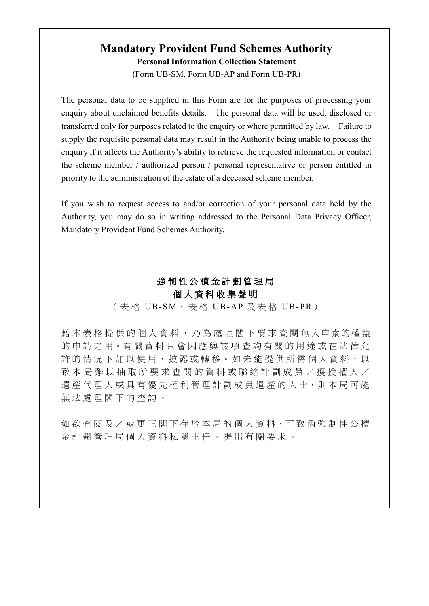# **Mandatory Provident Fund Schemes Authority Personal Information Collection Statement**

(Form UB-SM, Form UB-AP and Form UB-PR)

The personal data to be supplied in this Form are for the purposes of processing your enquiry about unclaimed benefits details. The personal data will be used, disclosed or transferred only for purposes related to the enquiry or where permitted by law. Failure to supply the requisite personal data may result in the Authority being unable to process the enquiry if it affects the Authority's ability to retrieve the requested information or contact the scheme member / authorized person / personal representative or person entitled in priority to the administration of the estate of a deceased scheme member.

If you wish to request access to and/or correction of your personal data held by the Authority, you may do so in writing addressed to the Personal Data Privacy Officer, Mandatory Provident Fund Schemes Authority.

## 強 制 性 公 積 金 計 劃 管 理 局 個 人 資 料 收 集 聲 明

(表格 UB-SM、表格 UB-AP 及表格 UB-PR)

藉本表格提供的個人資料,乃為處理閣下要求查閱無人申索的權益 的申請之用。有關資料只會因應與該項查詢有關的用途或在法律允 許的情況下加以使用、披露或轉移。如未能提供所需個人資料,以 致本局難以抽取所要求查閱的資料或聯絡計劃成員/獲授權人/ 遺產代理人 或具有優先權利管理計劃成員遺產的人士,則 本 局 可 能 無法處理閣下的杳詢。

如欲 查 閱 及 / 或 更 正 閣 下 存 於 本 局 的 個 人 資 料 , 可 致 函 強 制 性 公 積 金計劃管理局個人資料私隱主任 , 提出有關要求 。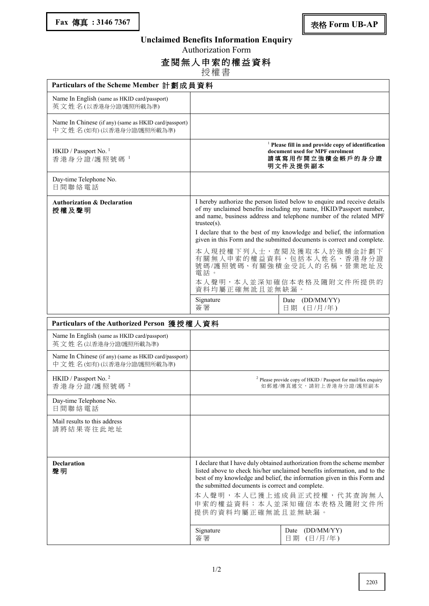### **Unclaimed Benefits Information Enquiry**

Authorization Form

#### 查閱無人申索的權益資料

授權 書

| Particulars of the Scheme Member 計劃成員資料                                         |                                                                                                                                                                                                                                                                                                                                                                  |                                                                                   |  |  |  |
|---------------------------------------------------------------------------------|------------------------------------------------------------------------------------------------------------------------------------------------------------------------------------------------------------------------------------------------------------------------------------------------------------------------------------------------------------------|-----------------------------------------------------------------------------------|--|--|--|
| Name In English (same as HKID card/passport)<br>英文姓名(以香港身分證/護照所載為準)             |                                                                                                                                                                                                                                                                                                                                                                  |                                                                                   |  |  |  |
| Name In Chinese (if any) (same as HKID card/passport)<br>中文姓名(如有)(以香港身分證應照所載為準) |                                                                                                                                                                                                                                                                                                                                                                  |                                                                                   |  |  |  |
| HKID / Passport No. <sup>1</sup><br>香港身分證/護照號碼1                                 | <sup>1</sup> Please fill in and provide copy of identification<br>document used for MPF enrolment<br>請填寫用作開立強積金帳戶的身分證<br>明文件及提供副本                                                                                                                                                                                                                                |                                                                                   |  |  |  |
| Day-time Telephone No.<br>日間聯絡電話                                                |                                                                                                                                                                                                                                                                                                                                                                  |                                                                                   |  |  |  |
| <b>Authorization &amp; Declaration</b><br>授權及聲明                                 | I hereby authorize the person listed below to enquire and receive details<br>of my unclaimed benefits including my name, HKID/Passport number,<br>and name, business address and telephone number of the related MPF<br>$trustee(s)$ .                                                                                                                           |                                                                                   |  |  |  |
|                                                                                 | I declare that to the best of my knowledge and belief, the information<br>given in this Form and the submitted documents is correct and complete.                                                                                                                                                                                                                |                                                                                   |  |  |  |
|                                                                                 | 電話。                                                                                                                                                                                                                                                                                                                                                              | 本人現授權下列人士,查閱及獲取本人於強積金計劃下<br>有關無人申索的權益資料,包括本人姓名、香港身分證<br>號碼/護照號碼、有關強積金受託人的名稱,營業地址及 |  |  |  |
|                                                                                 | 資料均屬正確無訛且並無缺漏。                                                                                                                                                                                                                                                                                                                                                   | 本人聲明,本人並深知確信本表格及隨附文件所提供的                                                          |  |  |  |
|                                                                                 | Signature<br>簽署                                                                                                                                                                                                                                                                                                                                                  | Date (DD/MM/YY)<br>日期 (日/月/年)                                                     |  |  |  |
| Particulars of the Authorized Person 獲授權人資料                                     |                                                                                                                                                                                                                                                                                                                                                                  |                                                                                   |  |  |  |
| Name In English (same as HKID card/passport)<br>英文姓名(以香港身分證/護照所載為準)             |                                                                                                                                                                                                                                                                                                                                                                  |                                                                                   |  |  |  |
| Name In Chinese (if any) (same as HKID card/passport)<br>中文姓名(如有)(以香港身分證應照所載為準) |                                                                                                                                                                                                                                                                                                                                                                  |                                                                                   |  |  |  |
| HKID / Passport No. <sup>2</sup><br>香港身分證/護照號碼 <sup>2</sup>                     | <sup>2</sup> Please provide copy of HKID / Passport for mail/fax enquiry<br>如郵遞/傳真遞交,請附上香港身分證/護照副本                                                                                                                                                                                                                                                               |                                                                                   |  |  |  |
| Day-time Telephone No.<br>日間聯絡電話                                                |                                                                                                                                                                                                                                                                                                                                                                  |                                                                                   |  |  |  |
| Mail results to this address<br>請將結果寄往此地址                                       |                                                                                                                                                                                                                                                                                                                                                                  |                                                                                   |  |  |  |
| <b>Declaration</b><br>聲明                                                        | I declare that I have duly obtained authorization from the scheme member<br>listed above to check his/her unclaimed benefits information, and to the<br>best of my knowledge and belief, the information given in this Form and<br>the submitted documents is correct and complete.<br>本人聲明,本人已獲上述成員正式授權,代其查詢無人<br>申索的權益資料;本人並深知確信本表格及隨附文件所<br>提供的資料均屬正確無訛且並無缺漏。 |                                                                                   |  |  |  |
|                                                                                 | Signature<br>簽署                                                                                                                                                                                                                                                                                                                                                  | (DD/MM/YY)<br>Date<br>日期<br>(日/月/年)                                               |  |  |  |